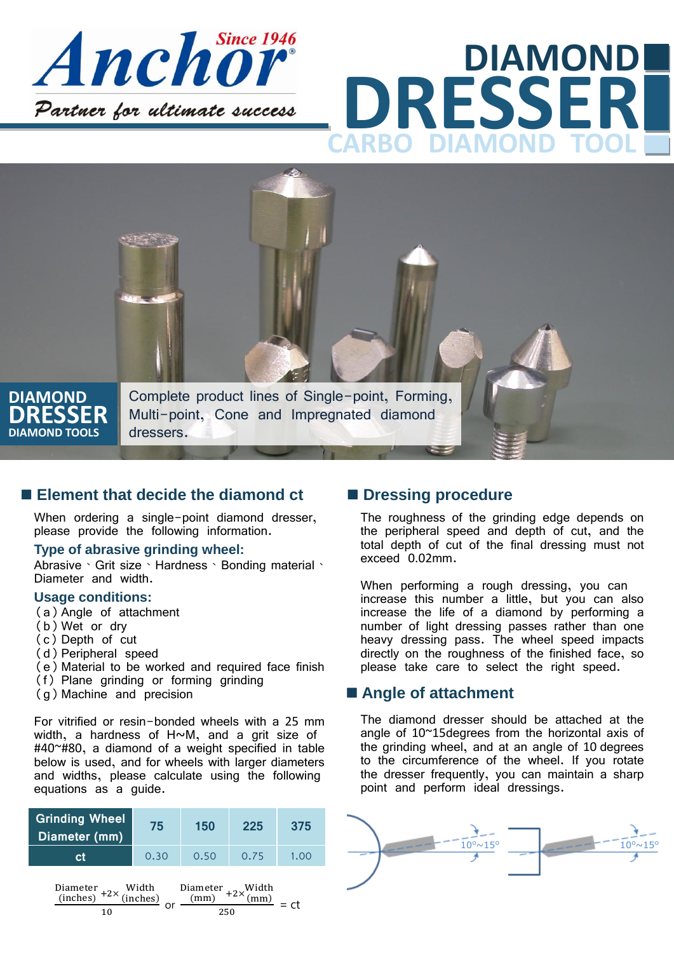

# **DRESSER DIAMOND** DIAMOND



### ■ **Element that decide the diamond ct**

When ordering a single-point diamond dresser, please provide the following information.

#### **Type of abrasive grinding wheel:**

Abrasive、Grit size、Hardness、Bonding material、 Diameter and width.

#### **Usage conditions:**

- (a)Angle of attachment
- (b)Wet or dry
- (c) Depth of cut
- (d)Peripheral speed
- (e)Material to be worked and required face finish
- (f) Plane grinding or forming grinding
- (g)Machine and precision

For vitrified or resin-bonded wheels with a 25 mm width, a hardness of H~M, and a grit size of #40~#80, a diamond of a weight specified in table below is used, and for wheels with larger diameters and widths, please calculate using the following equations as a guide.



### $\blacksquare$  Dressing procedure

The roughness of the grinding edge depends on the peripheral speed and depth of cut, and the total depth of cut of the final dressing must not exceed 0.02mm.

When performing a rough dressing, you can increase this number a little, but you can also increase the life of a diamond by performing a number of light dressing passes rather than one heavy dressing pass. The wheel speed impacts directly on the roughness of the finished face, so please take care to select the right speed.

### ■ Angle of attachment

The diamond dresser should be attached at the angle of 10~15degrees from the horizontal axis of the grinding wheel, and at an angle of 10 degrees to the circumference of the wheel. If you rotate the dresser frequently, you can maintain a sharp point and perform ideal dressings.

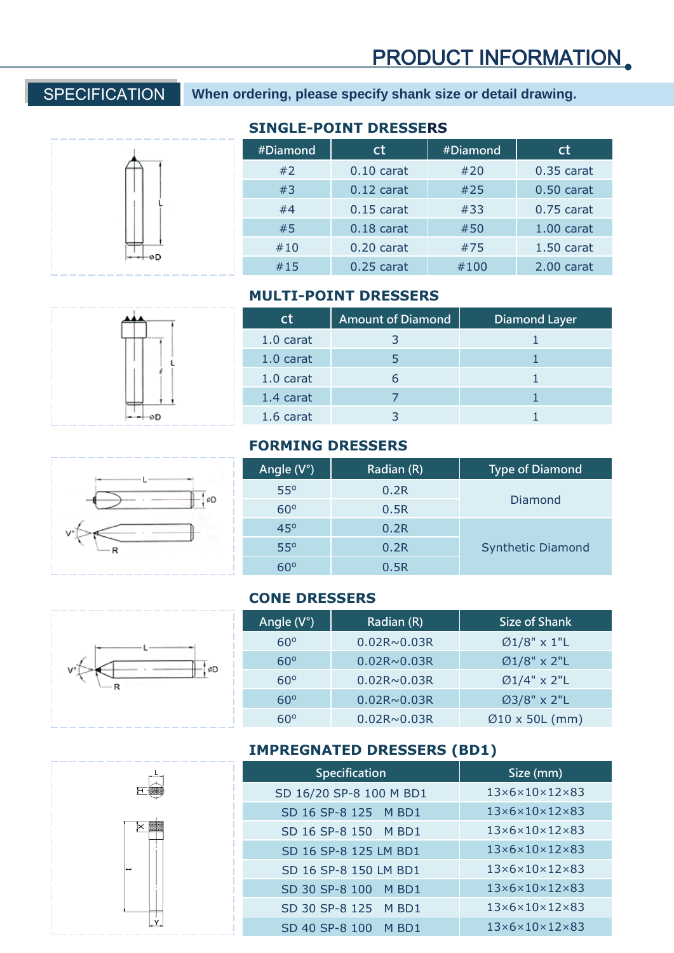SPECIFICATION **When ordering, please specify shank size or detail drawing.**



## **SINGLE-POINT DRESSERS**

| #Diamond | ct           | #Diamond | <sub>ct</sub> |
|----------|--------------|----------|---------------|
| #2       | $0.10$ carat | #20      | $0.35$ carat  |
| #3       | $0.12$ carat | #25      | $0.50$ carat  |
| #4       | $0.15$ carat | #33      | $0.75$ carat  |
| #5       | $0.18$ carat | #50      | $1.00$ carat  |
| #10      | $0.20$ carat | #75      | $1.50$ carat  |
| #15      | $0.25$ carat | #100     | 2.00 carat    |

# **MULTI-POINT DRESSERS**

| Сt        | <b>Amount of Diamond</b> | <b>Diamond Layer</b> |
|-----------|--------------------------|----------------------|
| 1.0 carat |                          |                      |
| 1.0 carat |                          |                      |
| 1.0 carat |                          |                      |
| 1.4 carat |                          |                      |
| 1.6 carat |                          |                      |

#### **FORMING DRESSERS**

| Angle $(V^{\circ})$ | Radian (R) | <b>Type of Diamond</b>   |
|---------------------|------------|--------------------------|
| $55^\circ$          | 0.2R       |                          |
| $60^\circ$          | 0.5R       | Diamond                  |
| $45^\circ$          | 0.2R       |                          |
| $55^\circ$          | 0.2R       | <b>Synthetic Diamond</b> |
|                     | 0.5R       |                          |

### **CONE DRESSERS**



×

Y

| Angle $(V^{\circ})$ | Radian (R)         | Size of Shank               |
|---------------------|--------------------|-----------------------------|
| $60^\circ$          | $0.02R \sim 0.03R$ | $\varnothing$ 1/8" x 1"L    |
| $60^\circ$          | $0.02R \sim 0.03R$ | $Ø1/8" \times 2"$ L         |
| $60^\circ$          | $0.02R \sim 0.03R$ | $\varnothing$ 1/4" x 2"L    |
| $60^\circ$          | $0.02R \sim 0.03R$ | $Ø3/8" \times 2"$ L         |
| 60°                 | $0.02R \sim 0.03R$ | $\varnothing$ 10 x 50L (mm) |

# **IMPREGNATED DRESSERS (BD1)**

| Specification           | Size (mm)                           |
|-------------------------|-------------------------------------|
| SD 16/20 SP-8 100 M BD1 | $13\times6\times10\times12\times83$ |
| SD 16 SP-8 125 M BD1    | $13\times6\times10\times12\times83$ |
| SD 16 SP-8 150 M BD1    | $13\times6\times10\times12\times83$ |
| SD 16 SP-8 125 LM BD1   | $13\times6\times10\times12\times83$ |
| SD 16 SP-8 150 LM BD1   | $13\times6\times10\times12\times83$ |
| SD 30 SP-8 100 M BD1    | $13\times6\times10\times12\times83$ |
| SD 30 SP-8 125 M BD1    | $13\times6\times10\times12\times83$ |
| SD 40 SP-8 100 M BD1    | $13\times6\times10\times12\times83$ |



oD.

 $\frac{1}{2}$ øD